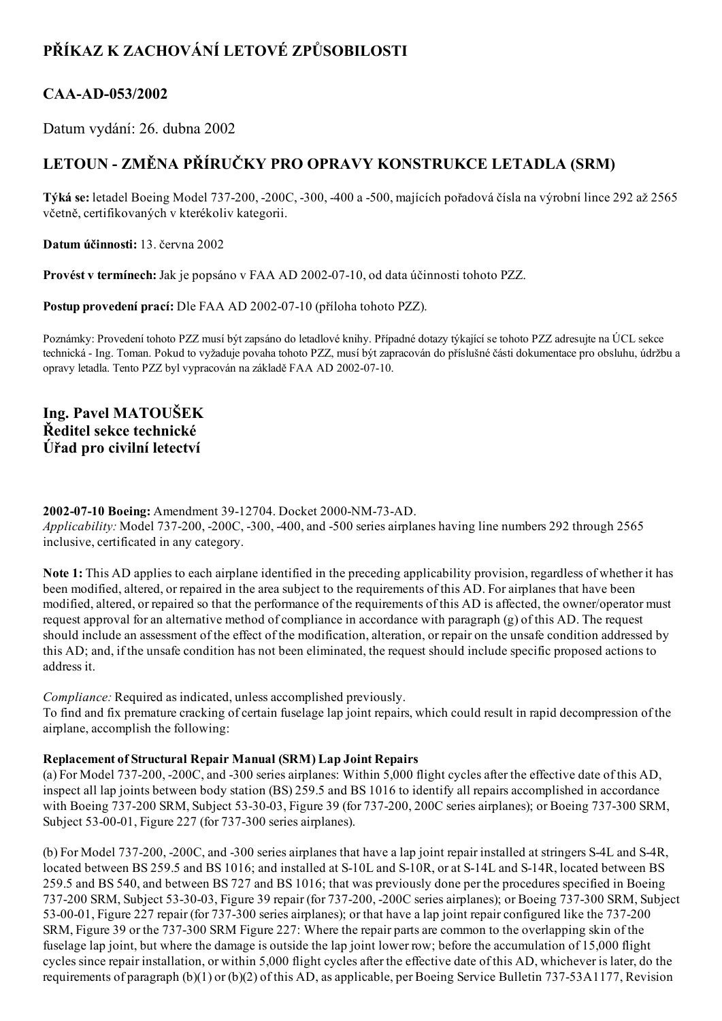## PŘÍKAZ K ZACHOVÁNÍ LETOVÉ ZPŮSOBILOSTI

### CAA-AD-053/2002

Datum vydání: 26. dubna 2002

# LETOUN ZMĚNA PŘÍRUČKY PRO OPRAVY KONSTRUKCE LETADLA (SRM)

Týká se: letadel Boeing Model 737-200, -200C, -300, -400 a -500, majících pořadová čísla na výrobní lince 292 až 2565 včetně, certifikovaných v kterékoliv kategorii.

Datum účinnosti: 13. června 2002

Provést v termínech: Jak je popsáno v FAA AD 2002-07-10, od data účinnosti tohoto PZZ.

Postup provedení prací: Dle FAA AD 2002-07-10 (příloha tohoto PZZ).

Poznámky: Provedení tohoto PZZ musí být zapsáno do letadlové knihy. Případné dotazy týkající se tohoto PZZ adresujte na ÚCL sekce technická Ing. Toman. Pokud to vyžaduje povaha tohoto PZZ, musí být zapracován do příslušné části dokumentace pro obsluhu, údržbu a opravy letadla. Tento PZZ byl vypracován na základě FAA AD 2002-07-10.

Ing. Pavel MATOUŠEK Ředitel sekce technické Úřad pro civilní letectví

#### 2002-07-10 Boeing: Amendment 39-12704. Docket 2000-NM-73-AD. Applicability: Model 737-200, -200C, -300, -400, and -500 series airplanes having line numbers 292 through 2565 inclusive, certificated in any category.

Note 1: This AD applies to each airplane identified in the preceding applicability provision, regardless of whether it has been modified, altered, or repaired in the area subject to the requirements of this AD. For airplanes that have been modified, altered, or repaired so that the performance of the requirements of this AD is affected, the owner/operator must request approval for an alternative method of compliance in accordance with paragraph (g) of this AD. The request should include an assessment of the effect of the modification, alteration, or repair on the unsafe condition addressed by this AD; and, if the unsafe condition has not been eliminated, the request should include specific proposed actions to address it.

Compliance: Required as indicated, unless accomplished previously.

To find and fix premature cracking of certain fuselage lap joint repairs, which could result in rapid decompression of the airplane, accomplish the following:

#### Replacement of Structural Repair Manual (SRM) Lap Joint Repairs

(a) For Model 737200, 200C, and 300 series airplanes: Within 5,000 flight cycles after the effective date of this AD, inspect all lap joints between body station (BS) 259.5 and BS 1016 to identify all repairs accomplished in accordance with Boeing 737-200 SRM, Subject 53-30-03, Figure 39 (for 737-200, 200C series airplanes); or Boeing 737-300 SRM, Subject 53-00-01, Figure 227 (for 737-300 series airplanes).

(b) For Model 737-200, -200C, and -300 series airplanes that have a lap joint repair installed at stringers S-4L and S-4R, located between BS 259.5 and BS 1016; and installed at S-10L and S-10R, or at S-14L and S-14R, located between BS 259.5 and BS 540, and between BS 727 and BS 1016; that was previously done per the procedures specified in Boeing 737-200 SRM, Subject 53-30-03, Figure 39 repair (for 737-200, -200C series airplanes); or Boeing 737-300 SRM, Subject 53-00-01, Figure 227 repair (for 737-300 series airplanes); or that have a lap joint repair configured like the 737-200 SRM, Figure 39 or the 737-300 SRM Figure 227: Where the repair parts are common to the overlapping skin of the fuselage lap joint, but where the damage is outside the lap joint lower row; before the accumulation of 15,000 flight cycles since repair installation, or within 5,000 flight cycles after the effective date of this AD, whichever is later, do the requirements of paragraph  $(b)(1)$  or  $(b)(2)$  of this AD, as applicable, per Boeing Service Bulletin 737-53A1177, Revision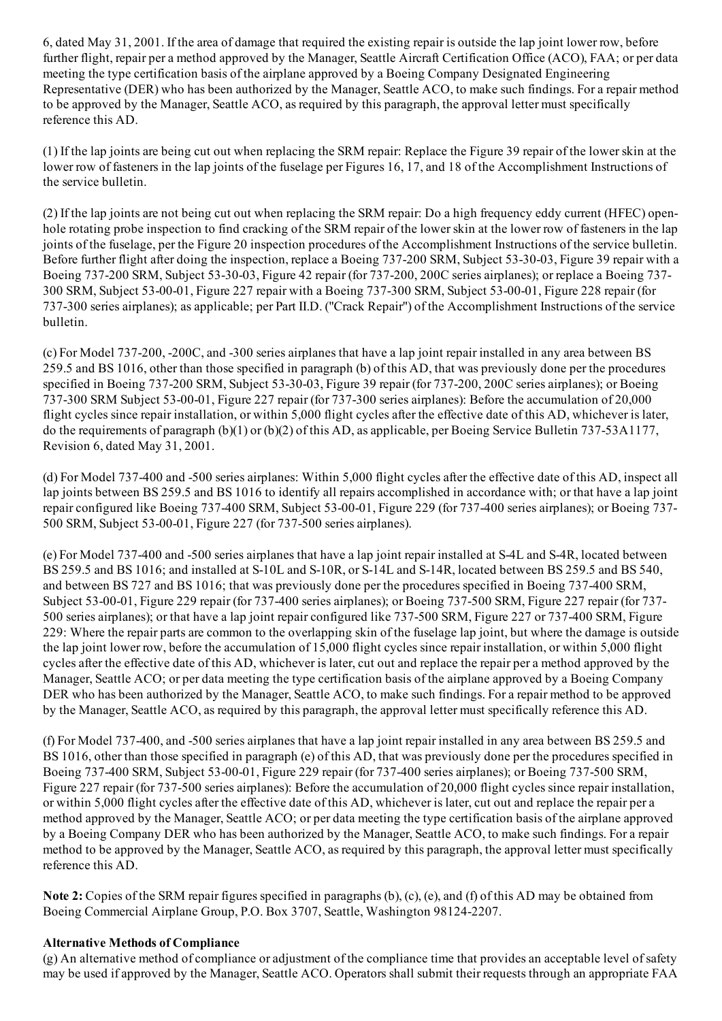6, dated May 31, 2001. If the area of damage that required the existing repair is outside the lap joint lower row, before further flight, repair per a method approved by the Manager, Seattle Aircraft Certification Office (ACO), FAA; or per data meeting the type certification basis of the airplane approved by a Boeing Company Designated Engineering Representative (DER) who has been authorized by the Manager, Seattle ACO, to make such findings. For a repair method to be approved by the Manager, Seattle ACO, as required by this paragraph, the approval letter must specifically reference this AD.

(1) If the lap joints are being cut out when replacing the SRM repair: Replace the Figure 39 repair of the lowerskin at the lower row of fasteners in the lap joints of the fuselage per Figures 16, 17, and 18 of the Accomplishment Instructions of the service bulletin.

(2) If the lap joints are not being cut out when replacing the SRM repair: Do a high frequency eddy current (HFEC) openhole rotating probe inspection to find cracking of the SRM repair of the lower skin at the lower row of fasteners in the lap joints of the fuselage, per the Figure 20 inspection procedures of the Accomplishment Instructions of the service bulletin. Before further flight after doing the inspection, replace a Boeing 737-200 SRM, Subject 53-30-03, Figure 39 repair with a Boeing 737-200 SRM, Subject 53-30-03, Figure 42 repair (for 737-200, 200C series airplanes); or replace a Boeing 737-300 SRM, Subject 53-00-01, Figure 227 repair with a Boeing 737-300 SRM, Subject 53-00-01, Figure 228 repair (for 737300 series airplanes); as applicable; per Part II.D. ("Crack Repair") of the Accomplishment Instructions of the service bulletin.

(c) For Model 737200, 200C, and 300 series airplanes that have a lap joint repair installed in any area between BS 259.5 and BS 1016, other than those specified in paragraph (b) of this AD, that was previously done per the procedures specified in Boeing 737-200 SRM, Subject 53-30-03, Figure 39 repair (for 737-200, 200C series airplanes); or Boeing 737-300 SRM Subject 53-00-01, Figure 227 repair (for 737-300 series airplanes): Before the accumulation of 20,000 flight cycles since repair installation, or within 5,000 flight cycles after the effective date of this AD, whichever is later, do the requirements of paragraph (b)(1) or (b)(2) of this AD, as applicable, per Boeing Service Bulletin 737-53A1177, Revision 6, dated May 31, 2001.

(d) For Model 737400 and 500 series airplanes: Within 5,000 flight cycles after the effective date of this AD, inspect all lap joints between BS 259.5 and BS 1016 to identify all repairs accomplished in accordance with; or that have a lap joint repair configured like Boeing 737-400 SRM, Subject 53-00-01, Figure 229 (for 737-400 series airplanes); or Boeing 737-500 SRM, Subject 53-00-01, Figure 227 (for 737-500 series airplanes).

(e) For Model 737400 and 500 series airplanes that have a lap joint repair installed at S4L and S4R, located between BS 259.5 and BS 1016; and installed at S-10L and S-10R, or S-14L and S-14R, located between BS 259.5 and BS 540, and between BS 727 and BS 1016; that was previously done per the procedures specified in Boeing 737400 SRM, Subject 53-00-01, Figure 229 repair (for  $737-400$  series airplanes); or Boeing  $737-500$  SRM, Figure 227 repair (for  $737-$ 500 series airplanes); or that have a lap joint repair configured like 737-500 SRM, Figure 227 or 737-400 SRM, Figure 229: Where the repair parts are common to the overlapping skin of the fuselage lap joint, but where the damage is outside the lap joint lower row, before the accumulation of 15,000 flight cycles since repair installation, or within 5,000 flight cycles after the effective date of this AD, whichever is later, cut out and replace the repair per a method approved by the Manager, Seattle ACO; or per data meeting the type certification basis of the airplane approved by a Boeing Company DER who has been authorized by the Manager, Seattle ACO, to make such findings. For a repair method to be approved by the Manager, Seattle ACO, as required by this paragraph, the approval letter must specifically reference this AD.

(f) For Model 737400, and 500 series airplanes that have a lap joint repair installed in any area between BS 259.5 and BS 1016, other than those specified in paragraph (e) of this AD, that was previously done per the procedures specified in Boeing 737-400 SRM, Subject 53-00-01, Figure 229 repair (for 737-400 series airplanes); or Boeing 737-500 SRM, Figure 227 repair (for 737-500 series airplanes): Before the accumulation of 20,000 flight cycles since repair installation, or within 5,000 flight cycles after the effective date of this AD, whichever is later, cut out and replace the repair per a method approved by the Manager, Seattle ACO; or per data meeting the type certification basis of the airplane approved by a Boeing Company DER who has been authorized by the Manager, Seattle ACO, to make such findings. For a repair method to be approved by the Manager, Seattle ACO, as required by this paragraph, the approval letter must specifically reference this AD.

Note 2: Copies of the SRM repair figures specified in paragraphs (b), (c), (e), and (f) of this AD may be obtained from Boeing Commercial Airplane Group, P.O. Box 3707, Seattle, Washington 98124-2207.

#### Alternative Methods of Compliance

(g) An alternative method of compliance or adjustment of the compliance time that provides an acceptable level ofsafety may be used if approved by the Manager, Seattle ACO. Operators shall submit their requests through an appropriate FAA